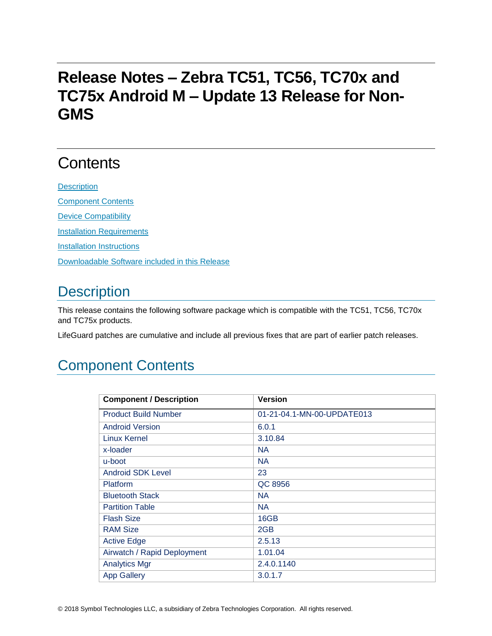# **Release Notes – Zebra TC51, TC56, TC70x and TC75x Android M – Update 13 Release for Non-GMS**

# **Contents**

**[Description](#page-0-0)** [Component Contents](#page-0-1) [Device Compatibility](#page-7-0) **[Installation Requirements](#page-8-0) [Installation Instructions](#page-8-1)** [Downloadable Software included in this Release](#page-9-0)

## <span id="page-0-0"></span>**Description**

This release contains the following software package which is compatible with the TC51, TC56, TC70x and TC75x products.

LifeGuard patches are cumulative and include all previous fixes that are part of earlier patch releases.

### <span id="page-0-1"></span>Component Contents

| <b>Component / Description</b> | <b>Version</b>             |
|--------------------------------|----------------------------|
| <b>Product Build Number</b>    | 01-21-04.1-MN-00-UPDATE013 |
| <b>Android Version</b>         | 6.0.1                      |
| <b>Linux Kernel</b>            | 3.10.84                    |
| x-loader                       | <b>NA</b>                  |
| u-boot                         | <b>NA</b>                  |
| <b>Android SDK Level</b>       | 23                         |
| <b>Platform</b>                | QC 8956                    |
| <b>Bluetooth Stack</b>         | <b>NA</b>                  |
| <b>Partition Table</b>         | <b>NA</b>                  |
| <b>Flash Size</b>              | 16GB                       |
| <b>RAM Size</b>                | 2GB                        |
| <b>Active Edge</b>             | 2.5.13                     |
| Airwatch / Rapid Deployment    | 1.01.04                    |
| <b>Analytics Mgr</b>           | 2.4.0.1140                 |
| <b>App Gallery</b>             | 3.0.1.7                    |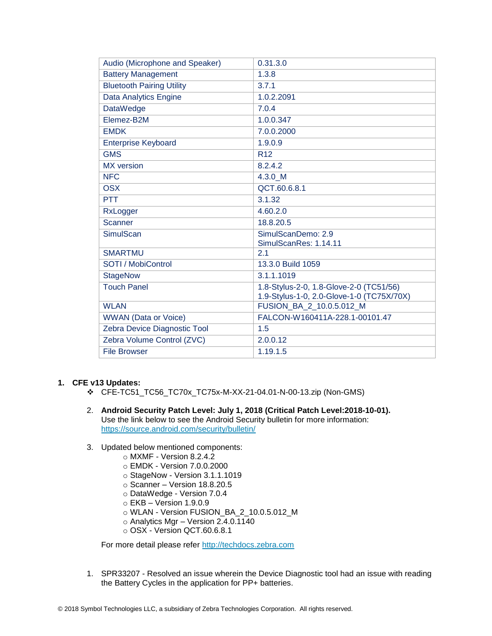| Audio (Microphone and Speaker)   | 0.31.3.0                                                                             |
|----------------------------------|--------------------------------------------------------------------------------------|
| <b>Battery Management</b>        | 1.3.8                                                                                |
| <b>Bluetooth Pairing Utility</b> | 3.7.1                                                                                |
| Data Analytics Engine            | 1.0.2.2091                                                                           |
| <b>DataWedge</b>                 | 7.0.4                                                                                |
| Elemez-B2M                       | 1.0.0.347                                                                            |
| <b>EMDK</b>                      | 7.0.0.2000                                                                           |
| <b>Enterprise Keyboard</b>       | 1.9.0.9                                                                              |
| <b>GMS</b>                       | R <sub>12</sub>                                                                      |
| <b>MX</b> version                | 8.2.4.2                                                                              |
| <b>NFC</b>                       | 4.3.0 M                                                                              |
| <b>OSX</b>                       | QCT.60.6.8.1                                                                         |
| <b>PTT</b>                       | 3.1.32                                                                               |
| RxLogger                         | 4.60.2.0                                                                             |
| <b>Scanner</b>                   | 18.8.20.5                                                                            |
| <b>SimulScan</b>                 | SimulScanDemo: 2.9                                                                   |
|                                  | SimulScanRes: 1.14.11                                                                |
| <b>SMARTMU</b>                   | 2.1                                                                                  |
| SOTI / MobiControl               | 13.3.0 Build 1059                                                                    |
| <b>StageNow</b>                  | 3.1.1.1019                                                                           |
| <b>Touch Panel</b>               | 1.8-Stylus-2-0, 1.8-Glove-2-0 (TC51/56)<br>1.9-Stylus-1-0, 2.0-Glove-1-0 (TC75X/70X) |
| <b>WLAN</b>                      | FUSION_BA_2_10.0.5.012_M                                                             |
| <b>WWAN</b> (Data or Voice)      | FALCON-W160411A-228.1-00101.47                                                       |
| Zebra Device Diagnostic Tool     | 1.5                                                                                  |
| Zebra Volume Control (ZVC)       | 2.0.0.12                                                                             |
| <b>File Browser</b>              | 1.19.1.5                                                                             |

#### **1. CFE v13 Updates:**

- ❖ CFE-TC51\_TC56\_TC70x\_TC75x-M-XX-21-04.01-N-00-13.zip (Non-GMS)
- 2. **Android Security Patch Level: July 1, 2018 (Critical Patch Level:2018-10-01).** Use the link below to see the Android Security bulletin for more information: <https://source.android.com/security/bulletin/>
- 3. Updated below mentioned components:
	- o MXMF Version 8.2.4.2
	- o EMDK Version 7.0.0.2000
	- o StageNow Version 3.1.1.1019
	- o Scanner Version 18.8.20.5
	- o DataWedge Version 7.0.4
	- $\circ$  EKB Version 1.9.0.9
	- o WLAN Version FUSION\_BA\_2\_10.0.5.012\_M
	- o Analytics Mgr Version 2.4.0.1140
	- o OSX Version QCT.60.6.8.1

For more detail please refer [http://techdocs.zebra.com](http://techdocs.zebra.com/)

1. SPR33207 - Resolved an issue wherein the Device Diagnostic tool had an issue with reading the Battery Cycles in the application for PP+ batteries.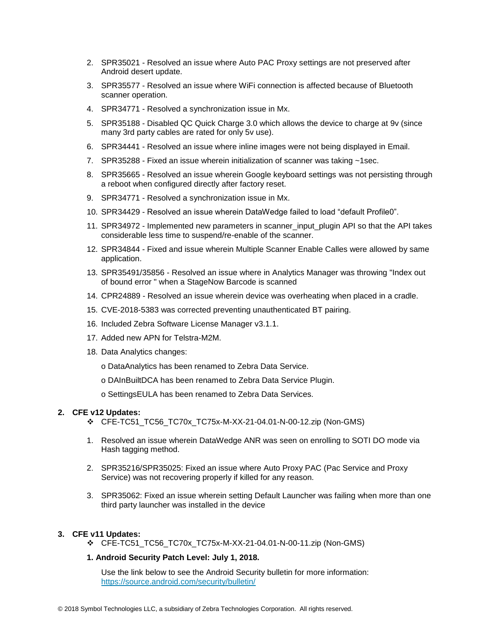- 2. SPR35021 Resolved an issue where Auto PAC Proxy settings are not preserved after Android desert update.
- 3. SPR35577 Resolved an issue where WiFi connection is affected because of Bluetooth scanner operation.
- 4. SPR34771 Resolved a synchronization issue in Mx.
- 5. SPR35188 Disabled QC Quick Charge 3.0 which allows the device to charge at 9v (since many 3rd party cables are rated for only 5v use).
- 6. SPR34441 Resolved an issue where inline images were not being displayed in Email.
- 7. SPR35288 Fixed an issue wherein initialization of scanner was taking ~1sec.
- 8. SPR35665 Resolved an issue wherein Google keyboard settings was not persisting through a reboot when configured directly after factory reset.
- 9. SPR34771 Resolved a synchronization issue in Mx.
- 10. SPR34429 Resolved an issue wherein DataWedge failed to load "default Profile0".
- 11. SPR34972 Implemented new parameters in scanner input plugin API so that the API takes considerable less time to suspend/re-enable of the scanner.
- 12. SPR34844 Fixed and issue wherein Multiple Scanner Enable Calles were allowed by same application.
- 13. SPR35491/35856 Resolved an issue where in Analytics Manager was throwing "Index out of bound error " when a StageNow Barcode is scanned
- 14. CPR24889 Resolved an issue wherein device was overheating when placed in a cradle.
- 15. CVE-2018-5383 was corrected preventing unauthenticated BT pairing.
- 16. Included Zebra Software License Manager v3.1.1.
- 17. Added new APN for Telstra-M2M.
- 18. Data Analytics changes:
	- o DataAnalytics has been renamed to Zebra Data Service.
	- o DAInBuiltDCA has been renamed to Zebra Data Service Plugin.
	- o SettingsEULA has been renamed to Zebra Data Services.

#### **2. CFE v12 Updates:**

- ❖ CFE-TC51\_TC56\_TC70x\_TC75x-M-XX-21-04.01-N-00-12.zip (Non-GMS)
- 1. Resolved an issue wherein DataWedge ANR was seen on enrolling to SOTI DO mode via Hash tagging method.
- 2. SPR35216/SPR35025: Fixed an issue where Auto Proxy PAC (Pac Service and Proxy Service) was not recovering properly if killed for any reason.
- 3. SPR35062: Fixed an issue wherein setting Default Launcher was failing when more than one third party launcher was installed in the device

#### **3. CFE v11 Updates:**

❖ CFE-TC51\_TC56\_TC70x\_TC75x-M-XX-21-04.01-N-00-11.zip (Non-GMS)

#### **1. Android Security Patch Level: July 1, 2018.**

Use the link below to see the Android Security bulletin for more information: <https://source.android.com/security/bulletin/>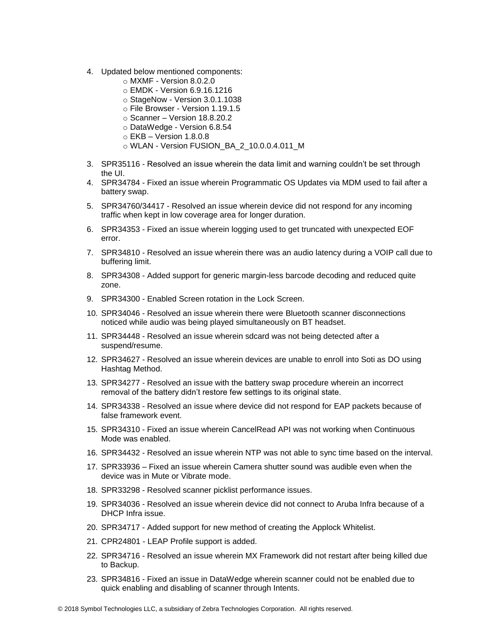- 4. Updated below mentioned components:
	- $\circ$  MXMF Version 8.0.2.0
	- o EMDK Version 6.9.16.1216
	- o StageNow Version 3.0.1.1038
	- o File Browser Version 1.19.1.5
	- o Scanner Version 18.8.20.2
	- o DataWedge Version 6.8.54
	- $\circ$  EKB Version 1.8.0.8
	- o WLAN Version FUSION\_BA\_2\_10.0.0.4.011\_M
- 3. SPR35116 Resolved an issue wherein the data limit and warning couldn't be set through the UI.
- 4. SPR34784 Fixed an issue wherein Programmatic OS Updates via MDM used to fail after a battery swap.
- 5. SPR34760/34417 Resolved an issue wherein device did not respond for any incoming traffic when kept in low coverage area for longer duration.
- 6. SPR34353 Fixed an issue wherein logging used to get truncated with unexpected EOF error.
- 7. SPR34810 Resolved an issue wherein there was an audio latency during a VOIP call due to buffering limit.
- 8. SPR34308 Added support for generic margin-less barcode decoding and reduced quite zone.
- 9. SPR34300 Enabled Screen rotation in the Lock Screen.
- 10. SPR34046 Resolved an issue wherein there were Bluetooth scanner disconnections noticed while audio was being played simultaneously on BT headset.
- 11. SPR34448 Resolved an issue wherein sdcard was not being detected after a suspend/resume.
- 12. SPR34627 Resolved an issue wherein devices are unable to enroll into Soti as DO using Hashtag Method.
- 13. SPR34277 Resolved an issue with the battery swap procedure wherein an incorrect removal of the battery didn't restore few settings to its original state.
- 14. SPR34338 Resolved an issue where device did not respond for EAP packets because of false framework event.
- 15. SPR34310 Fixed an issue wherein CancelRead API was not working when Continuous Mode was enabled.
- 16. SPR34432 Resolved an issue wherein NTP was not able to sync time based on the interval.
- 17. SPR33936 Fixed an issue wherein Camera shutter sound was audible even when the device was in Mute or Vibrate mode.
- 18. SPR33298 Resolved scanner picklist performance issues.
- 19. SPR34036 Resolved an issue wherein device did not connect to Aruba Infra because of a DHCP Infra issue.
- 20. SPR34717 Added support for new method of creating the Applock Whitelist.
- 21. CPR24801 LEAP Profile support is added.
- 22. SPR34716 Resolved an issue wherein MX Framework did not restart after being killed due to Backup.
- 23. SPR34816 Fixed an issue in DataWedge wherein scanner could not be enabled due to quick enabling and disabling of scanner through Intents.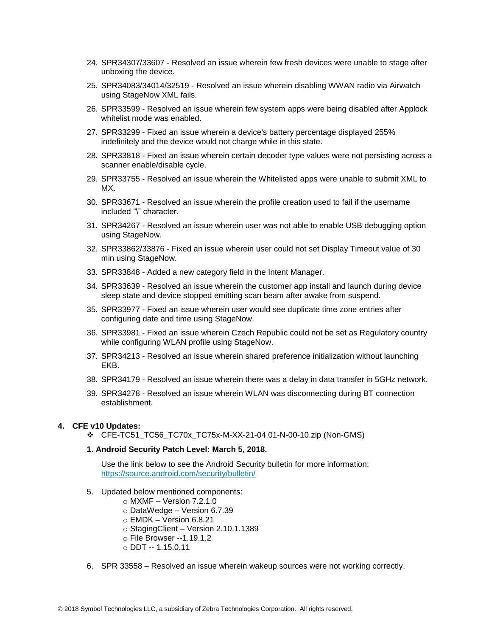- 24. SPR34307/33607 Resolved an issue wherein few fresh devices were unable to stage after unboxing the device.
- 25. SPR34083/34014/32519 Resolved an issue wherein disabling WWAN radio via Airwatch using StageNow XML fails.
- 26. SPR33599 Resolved an issue wherein few system apps were being disabled after Applock whitelist mode was enabled.
- 27. SPR33299 Fixed an issue wherein a device's battery percentage displayed 255% indefinitely and the device would not charge while in this state.
- 28. SPR33818 Fixed an issue wherein certain decoder type values were not persisting across a scanner enable/disable cycle.
- 29. SPR33755 Resolved an issue wherein the Whitelisted apps were unable to submit XML to MX.
- 30. SPR33671 Resolved an issue wherein the profile creation used to fail if the username included "\" character.
- 31. SPR34267 Resolved an issue wherein user was not able to enable USB debugging option using StageNow.
- 32. SPR33862/33876 Fixed an issue wherein user could not set Display Timeout value of 30 min using StageNow.
- 33. SPR33848 Added a new category field in the Intent Manager.
- 34. SPR33639 Resolved an issue wherein the customer app install and launch during device sleep state and device stopped emitting scan beam after awake from suspend.
- 35. SPR33977 Fixed an issue wherein user would see duplicate time zone entries after configuring date and time using StageNow.
- 36. SPR33981 Fixed an issue wherein Czech Republic could not be set as Regulatory country while configuring WLAN profile using StageNow.
- 37. SPR34213 Resolved an issue wherein shared preference initialization without launching EKB.
- 38. SPR34179 Resolved an issue wherein there was a delay in data transfer in 5GHz network.
- 39. SPR34278 Resolved an issue wherein WLAN was disconnecting during BT connection establishment.

#### **4. CFE v10 Updates:**

❖ CFE-TC51\_TC56\_TC70x\_TC75x-M-XX-21-04.01-N-00-10.zip (Non-GMS)

#### **1. Android Security Patch Level: March 5, 2018.**

Use the link below to see the Android Security bulletin for more information: <https://source.android.com/security/bulletin/>

- 5. Updated below mentioned components:
	- $\circ$  MXMF Version 7.2.1.0
	- o DataWedge Version 6.7.39
	- $\circ$  EMDK Version 6.8.21
	- o StagingClient Version 2.10.1.1389
	- o File Browser --1.19.1.2
	- o DDT -- 1.15.0.11
- 6. SPR 33558 Resolved an issue wherein wakeup sources were not working correctly.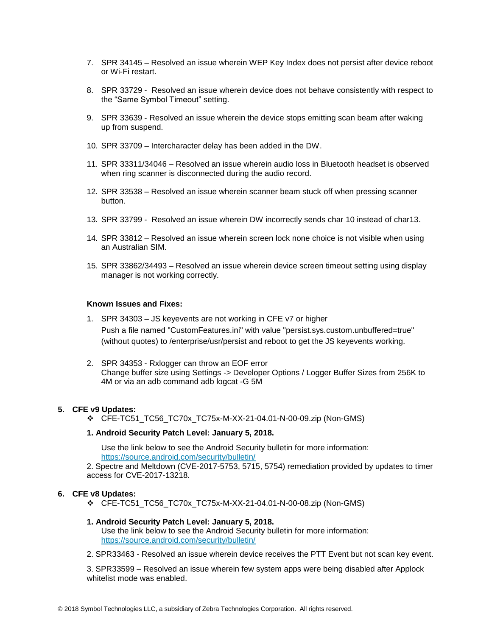- 7. SPR 34145 Resolved an issue wherein WEP Key Index does not persist after device reboot or Wi-Fi restart.
- 8. SPR 33729 Resolved an issue wherein device does not behave consistently with respect to the "Same Symbol Timeout" setting.
- 9. SPR 33639 Resolved an issue wherein the device stops emitting scan beam after waking up from suspend.
- 10. SPR 33709 Intercharacter delay has been added in the DW.
- 11. SPR 33311/34046 Resolved an issue wherein audio loss in Bluetooth headset is observed when ring scanner is disconnected during the audio record.
- 12. SPR 33538 Resolved an issue wherein scanner beam stuck off when pressing scanner button.
- 13. SPR 33799 Resolved an issue wherein DW incorrectly sends char 10 instead of char13.
- 14. SPR 33812 Resolved an issue wherein screen lock none choice is not visible when using an Australian SIM.
- 15. SPR 33862/34493 Resolved an issue wherein device screen timeout setting using display manager is not working correctly.

#### **Known Issues and Fixes:**

- 1. SPR 34303 JS keyevents are not working in CFE v7 or higher Push a file named "CustomFeatures.ini" with value "persist.sys.custom.unbuffered=true" (without quotes) to /enterprise/usr/persist and reboot to get the JS keyevents working.
- 2. SPR 34353 Rxlogger can throw an EOF error Change buffer size using Settings -> Developer Options / Logger Buffer Sizes from 256K to 4M or via an adb command adb logcat -G 5M

#### **5. CFE v9 Updates:**

❖ CFE-TC51\_TC56\_TC70x\_TC75x-M-XX-21-04.01-N-00-09.zip (Non-GMS)

#### **1. Android Security Patch Level: January 5, 2018.**

Use the link below to see the Android Security bulletin for more information: <https://source.android.com/security/bulletin/>

2. Spectre and Meltdown (CVE-2017-5753, 5715, 5754) remediation provided by updates to timer access for CVE-2017-13218.

#### **6. CFE v8 Updates:**

❖ CFE-TC51\_TC56\_TC70x\_TC75x-M-XX-21-04.01-N-00-08.zip (Non-GMS)

#### **1. Android Security Patch Level: January 5, 2018.**

Use the link below to see the Android Security bulletin for more information: <https://source.android.com/security/bulletin/>

2. SPR33463 - Resolved an issue wherein device receives the PTT Event but not scan key event.

3. SPR33599 – Resolved an issue wherein few system apps were being disabled after Applock whitelist mode was enabled.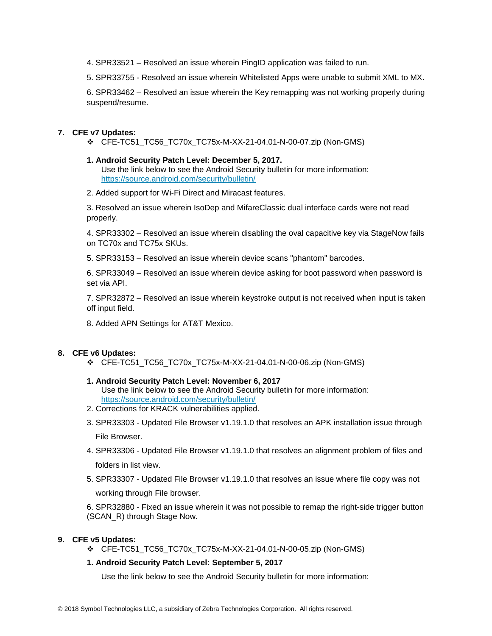- 4. SPR33521 Resolved an issue wherein PingID application was failed to run.
- 5. SPR33755 Resolved an issue wherein Whitelisted Apps were unable to submit XML to MX.

6. SPR33462 – Resolved an issue wherein the Key remapping was not working properly during suspend/resume.

#### **7. CFE v7 Updates:**

- ❖ CFE-TC51\_TC56\_TC70x\_TC75x-M-XX-21-04.01-N-00-07.zip (Non-GMS)
- **1. Android Security Patch Level: December 5, 2017.** Use the link below to see the Android Security bulletin for more information: <https://source.android.com/security/bulletin/>
- 2. Added support for Wi-Fi Direct and Miracast features.

3. Resolved an issue wherein IsoDep and MifareClassic dual interface cards were not read properly.

4. SPR33302 – Resolved an issue wherein disabling the oval capacitive key via StageNow fails on TC70x and TC75x SKUs.

5. SPR33153 – Resolved an issue wherein device scans "phantom" barcodes.

6. SPR33049 – Resolved an issue wherein device asking for boot password when password is set via API.

7. SPR32872 – Resolved an issue wherein keystroke output is not received when input is taken off input field.

8. Added APN Settings for AT&T Mexico.

#### **8. CFE v6 Updates:**

❖ CFE-TC51\_TC56\_TC70x\_TC75x-M-XX-21-04.01-N-00-06.zip (Non-GMS)

#### **1. Android Security Patch Level: November 6, 2017**

Use the link below to see the Android Security bulletin for more information: <https://source.android.com/security/bulletin/>

- 2. Corrections for KRACK vulnerabilities applied.
- 3. SPR33303 Updated File Browser v1.19.1.0 that resolves an APK installation issue through File Browser.
- 4. SPR33306 Updated File Browser v1.19.1.0 that resolves an alignment problem of files and folders in list view.
- 5. SPR33307 Updated File Browser v1.19.1.0 that resolves an issue where file copy was not working through File browser.

6. SPR32880 - Fixed an issue wherein it was not possible to remap the right-side trigger button (SCAN\_R) through Stage Now.

#### **9. CFE v5 Updates:**

❖ CFE-TC51\_TC56\_TC70x\_TC75x-M-XX-21-04.01-N-00-05.zip (Non-GMS)

#### **1. Android Security Patch Level: September 5, 2017**

Use the link below to see the Android Security bulletin for more information: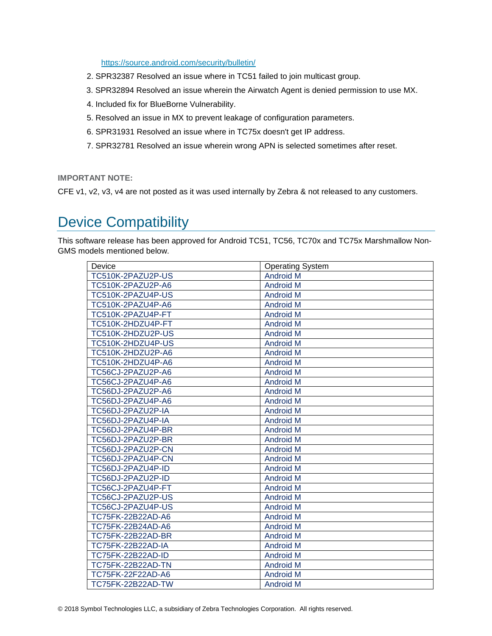<https://source.android.com/security/bulletin/>

- 2. SPR32387 Resolved an issue where in TC51 failed to join multicast group.
- 3. SPR32894 Resolved an issue wherein the Airwatch Agent is denied permission to use MX.
- 4. Included fix for BlueBorne Vulnerability.
- 5. Resolved an issue in MX to prevent leakage of configuration parameters.
- 6. SPR31931 Resolved an issue where in TC75x doesn't get IP address.
- 7. SPR32781 Resolved an issue wherein wrong APN is selected sometimes after reset.

**IMPORTANT NOTE:**

CFE v1, v2, v3, v4 are not posted as it was used internally by Zebra & not released to any customers.

### <span id="page-7-0"></span>Device Compatibility

This software release has been approved for Android TC51, TC56, TC70x and TC75x Marshmallow Non-GMS models mentioned below.

| Device                   | <b>Operating System</b> |
|--------------------------|-------------------------|
| TC510K-2PAZU2P-US        | <b>Android M</b>        |
| TC510K-2PAZU2P-A6        | <b>Android M</b>        |
| TC510K-2PAZU4P-US        | <b>Android M</b>        |
| TC510K-2PAZU4P-A6        | <b>Android M</b>        |
| TC510K-2PAZU4P-FT        | <b>Android M</b>        |
| TC510K-2HDZU4P-FT        | <b>Android M</b>        |
| TC510K-2HDZU2P-US        | <b>Android M</b>        |
| TC510K-2HDZU4P-US        | <b>Android M</b>        |
| TC510K-2HDZU2P-A6        | <b>Android M</b>        |
| TC510K-2HDZU4P-A6        | <b>Android M</b>        |
| TC56CJ-2PAZU2P-A6        | <b>Android M</b>        |
| TC56CJ-2PAZU4P-A6        | <b>Android M</b>        |
| TC56DJ-2PAZU2P-A6        | <b>Android M</b>        |
| TC56DJ-2PAZU4P-A6        | <b>Android M</b>        |
| TC56DJ-2PAZU2P-IA        | <b>Android M</b>        |
| TC56DJ-2PAZU4P-IA        | <b>Android M</b>        |
| TC56DJ-2PAZU4P-BR        | <b>Android M</b>        |
| TC56DJ-2PAZU2P-BR        | <b>Android M</b>        |
| TC56DJ-2PAZU2P-CN        | <b>Android M</b>        |
| TC56DJ-2PAZU4P-CN        | <b>Android M</b>        |
| TC56DJ-2PAZU4P-ID        | <b>Android M</b>        |
| TC56DJ-2PAZU2P-ID        | <b>Android M</b>        |
| TC56CJ-2PAZU4P-FT        | <b>Android M</b>        |
| TC56CJ-2PAZU2P-US        | <b>Android M</b>        |
| TC56CJ-2PAZU4P-US        | <b>Android M</b>        |
| TC75FK-22B22AD-A6        | <b>Android M</b>        |
| TC75FK-22B24AD-A6        | <b>Android M</b>        |
| TC75FK-22B22AD-BR        | <b>Android M</b>        |
| <b>TC75FK-22B22AD-IA</b> | <b>Android M</b>        |
| TC75FK-22B22AD-ID        | <b>Android M</b>        |
| <b>TC75FK-22B22AD-TN</b> | <b>Android M</b>        |
| TC75FK-22F22AD-A6        | <b>Android M</b>        |
| TC75FK-22B22AD-TW        | <b>Android M</b>        |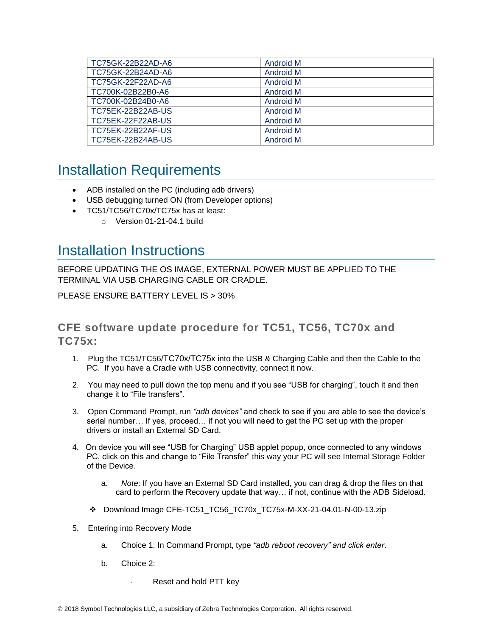| TC75GK-22B22AD-A6        | <b>Android M</b> |
|--------------------------|------------------|
| TC75GK-22B24AD-A6        | Android M        |
| TC75GK-22F22AD-A6        | Android M        |
| TC700K-02B22B0-A6        | Android M        |
| TC700K-02B24B0-A6        | Android M        |
| <b>TC75EK-22B22AB-US</b> | Android M        |
| TC75EK-22F22AB-US        | Android M        |
| <b>TC75EK-22B22AF-US</b> | Android M        |
| <b>TC75EK-22B24AB-US</b> | <b>Android M</b> |

### <span id="page-8-0"></span>Installation Requirements

- ADB installed on the PC (including adb drivers)
- USB debugging turned ON (from Developer options)
	- TC51/TC56/TC70x/TC75x has at least:
		- o Version 01-21-04.1 build

### <span id="page-8-1"></span>Installation Instructions

BEFORE UPDATING THE OS IMAGE, EXTERNAL POWER MUST BE APPLIED TO THE TERMINAL VIA USB CHARGING CABLE OR CRADLE.

PLEASE ENSURE BATTERY LEVEL IS > 30%

### **CFE software update procedure for TC51, TC56, TC70x and TC75x:**

- 1. Plug the TC51/TC56/TC70x/TC75x into the USB & Charging Cable and then the Cable to the PC. If you have a Cradle with USB connectivity, connect it now.
- 2. You may need to pull down the top menu and if you see "USB for charging", touch it and then change it to "File transfers".
- 3. Open Command Prompt, run *"adb devices"* and check to see if you are able to see the device's serial number… If yes, proceed… if not you will need to get the PC set up with the proper drivers or install an External SD Card.
- 4. On device you will see "USB for Charging" USB applet popup, once connected to any windows PC, click on this and change to "File Transfer" this way your PC will see Internal Storage Folder of the Device.
	- a. *Note*: If you have an External SD Card installed, you can drag & drop the files on that card to perform the Recovery update that way… if not, continue with the ADB Sideload.
	- ❖ Download Image CFE-TC51\_TC56\_TC70x\_TC75x-M-XX-21-04.01-N-00-13.zip
- 5. Entering into Recovery Mode
	- a. Choice 1: In Command Prompt, type *"adb reboot recovery" and click enter*.
	- b. Choice 2:
		- Reset and hold PTT key